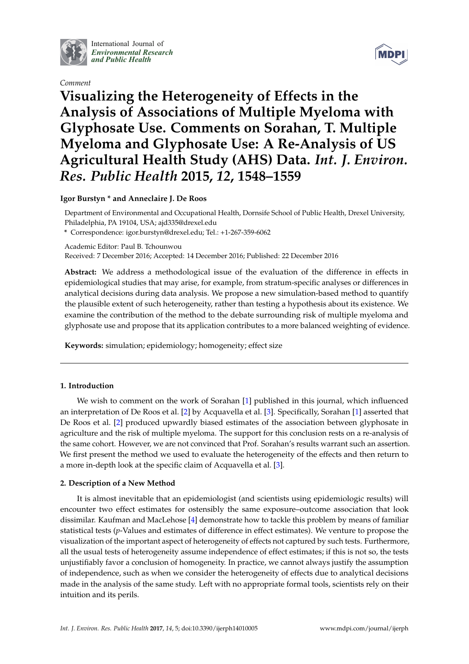

International Journal of *[Environmental Research](http://www.mdpi.com/journal/ijerph) and Public Health*

*Comment*



# **Visualizing the Heterogeneity of Effects in the Analysis of Associations of Multiple Myeloma with Glyphosate Use. Comments on Sorahan, T. Multiple Myeloma and Glyphosate Use: A Re-Analysis of US Agricultural Health Study (AHS) Data.** *Int. J. Environ. Res. Public Health* **2015,** *12***, 1548–1559**

**Igor Burstyn \* and Anneclaire J. De Roos**

Department of Environmental and Occupational Health, Dornsife School of Public Health, Drexel University, Philadelphia, PA 19104, USA; ajd335@drexel.edu

**\*** Correspondence: igor.burstyn@drexel.edu; Tel.: +1-267-359-6062

Academic Editor: Paul B. Tchounwou

Received: 7 December 2016; Accepted: 14 December 2016; Published: 22 December 2016

**Abstract:** We address a methodological issue of the evaluation of the difference in effects in epidemiological studies that may arise, for example, from stratum-specific analyses or differences in analytical decisions during data analysis. We propose a new simulation-based method to quantify the plausible extent of such heterogeneity, rather than testing a hypothesis about its existence. We examine the contribution of the method to the debate surrounding risk of multiple myeloma and glyphosate use and propose that its application contributes to a more balanced weighting of evidence.

**Keywords:** simulation; epidemiology; homogeneity; effect size

## **1. Introduction**

We wish to comment on the work of Sorahan [\[1\]](#page-4-0) published in this journal, which influenced an interpretation of De Roos et al. [\[2\]](#page-4-1) by Acquavella et al. [\[3\]](#page-4-2). Specifically, Sorahan [\[1\]](#page-4-0) asserted that De Roos et al. [\[2\]](#page-4-1) produced upwardly biased estimates of the association between glyphosate in agriculture and the risk of multiple myeloma. The support for this conclusion rests on a re-analysis of the same cohort. However, we are not convinced that Prof. Sorahan's results warrant such an assertion. We first present the method we used to evaluate the heterogeneity of the effects and then return to a more in-depth look at the specific claim of Acquavella et al. [\[3\]](#page-4-2).

## **2. Description of a New Method**

It is almost inevitable that an epidemiologist (and scientists using epidemiologic results) will encounter two effect estimates for ostensibly the same exposure–outcome association that look dissimilar. Kaufman and MacLehose [\[4\]](#page-4-3) demonstrate how to tackle this problem by means of familiar statistical tests (*p*-Values and estimates of difference in effect estimates). We venture to propose the visualization of the important aspect of heterogeneity of effects not captured by such tests. Furthermore, all the usual tests of heterogeneity assume independence of effect estimates; if this is not so, the tests unjustifiably favor a conclusion of homogeneity. In practice, we cannot always justify the assumption of independence, such as when we consider the heterogeneity of effects due to analytical decisions made in the analysis of the same study. Left with no appropriate formal tools, scientists rely on their intuition and its perils.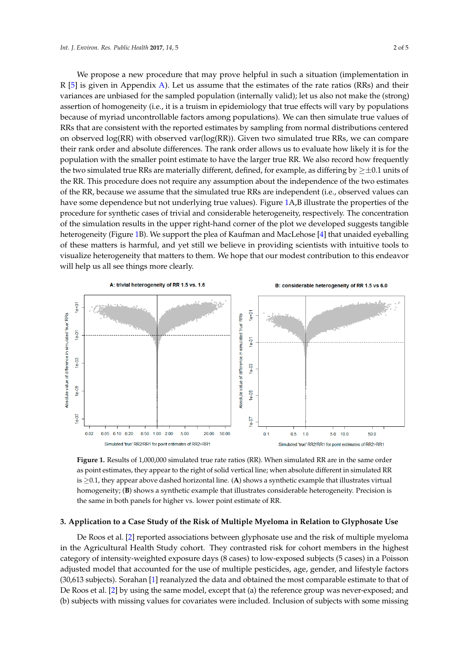We propose a new procedure that may prove helpful in such a situation (implementation in R [\[5\]](#page-4-4) is given in Appendix A). Let us assume that the estimates of the rate ratios (RRs) and their [5] is given in Appendix [A\).](#page-3-0) Let us assume that the estimates of the rate ratios (RRs) and their variances are unbiased for the sampled population (internally valid); let us also not make the (strong) variances are unbiased for the sampled population (internally valid); let us also not make the (strong) assertion of homogeneity (i.e., it is a truism in epidemiology that true effects will vary by populations assertion of homogeneity (i.e., it is a truism in epidemiology that true effects will vary by populations because of myriad uncontrollable factors among populations). We can then simulate true values of because of myriad uncontrollable factors among populations). We can then simulate true values of RRs that are consistent with the reported estimates by sampling from normal distributions centered RRs that are consistent with the reported estimates by sampling from normal distributions centered on observed log(RR) with observed var(log(RR)). Given two simulated true RRs, we can compare on observed log(RR) with observed var(log(RR)). Given two simulated true RRs, we can compare their rank order and absolute differences. The rank order allows us to evaluate how likely it is for the their rank order and absolute differences. The rank order allows us to evaluate how likely it is for the population with the smaller point estimate to have the larger true RR. We also record how frequently population with the smaller point estimate to have the larger true RR. We also record how frequently the two simulated true RRs are materially different, defined, for example, as differing by  $\geq \pm 0.1$  units of the RR. This procedure does not require any assumption about the independence of the two estimates of the RR, because we assume that the simulated true RRs are independent (i.e., observed values can have some dependence but not underlying true [va](#page-1-0)lues). Figure 1A,B illustrate the properties of the procedure for synthetic cases of trivial and considerable heterogeneity, respectively. The concentration of the simulation results in the upper right-hand corner of the plot we developed suggests tangible heterogeneity (Figure 1B). We support the plea of Kaufman and MacLehose [\[4\]](#page-4-3) that unaided eyeballing of these matters is harmful, and yet still we believe in providing scientists with intuitive tools to visualize heterogeneity that matters to them. We hope that our modest contribution to this endeavor will help us all see things more clearly.

<span id="page-1-0"></span>

**Figure 1.** Results of 1,000,000 simulated true rate ratios (RR). When simulated RR are in the same **Figure 1.** Results of 1,000,000 simulated true rate ratios (RR). When simulated RR are in the same order as point estimates, they appear to the right of solid vertical line; when absolute different in simulated RR simulated RR is ≥0.1, they appear above dashed horizontal line. (**A**) shows a synthetic example that is ≥0.1, they appear above dashed horizontal line. (**A**) shows a synthetic example that illustrates virtual homogeneity; (**B**) shows a synthetic example that illustrates considerable heterogeneity. Precision is the same in both panels for higher vs. lower point estimate of RR. the same in both panels for higher vs. lower point estimate of RR.

## **3. Application to a Case Study of the Risk of Multiple Myeloma in Relation to Glyphosate Use 3. Application to a Case Study of the Risk of Multiple Myeloma in Relation to Glyphosate Use**

De Roos et al. [[2\]](#page-4-1) reported associations between glyphosate use and the risk of multiple myeloma De Roos et al. [2] reported associations between glyphosate use and the risk of multiple myeloma in the Agricultural Health Study cohort. They contrasted risk for cohort members in the highest category of intensity-weighted exposure days (8 cases) to low-exposed subjects (5 cases) in a Poisson category of intensity-weighted exposure days (8 cases) to low-exposed subjects (5 cases) in a Poisson adjusted model that accounted for the use of multiple pesticides, age, gender, and lifestyle factors adjusted model that accounted for the use of multiple pesticides, age, gender, and lifestyle factors (30,613 subjects). Sorahan [\[1](#page-4-0)] reanalyzed the data and obtained the most comparable estimate to that (30,613 subjects). Sorahan [1] reanalyzed the data and obtained the most comparable estimate to that of De Roos et [al.](#page-4-1) [2] by using the same model, except that (a) the reference group was never-exposed; and (b) subjects with missing values for covariates were included. Inclusion of subjects with some missing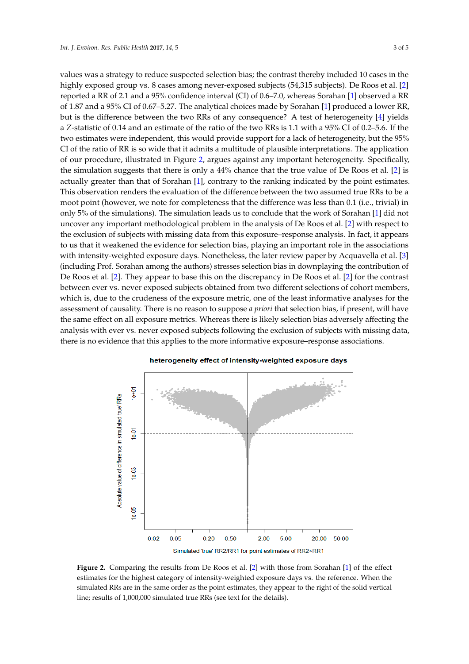values was a strategy to reduce suspected selection bias; the contrast thereby included 10 cases in the highly exposed group vs. 8 cases among never-exposed subjects (54,315 subjects). De Roos et al. [\[2\]](#page-4-1) reported a RR of 2.1 and a 95% confidence interval (CI) of 0.6–7.0, whereas Sorahan [\[1\]](#page-4-0) observed a RR of 1.87 and a 95% CI of 0.67-5.27. The analytical choices made by Sorahan [\[1\]](#page-4-0) produced a lower RR, but is the difference between the two RRs of any consequence? A test of heterogeneity [\[4\]](#page-4-3) yields a *Z*-statistic of 0.14 and an estimate of the ratio of the two RRs is 1.1 with a 95% CI of 0.2–5.6. If the two estimates were independent, this would provide support for a lack of heterogeneity, but the 95% CI of the ratio of RR is so wide that it admits a multitude of plausible interpretations. The application of our procedure, illustrated in Figure [2,](#page-2-0) argues against any important heterogeneity. Specifically, the simulation suggests that there is only a 44% chance that the true value of De Roos et al. [\[2\]](#page-4-1) is actually greater than that of Sorahan [\[1\]](#page-4-0), contrary to the ranking indicated by the point estimates. This observation renders the evaluation of the difference between the two assumed true RRs to be a moot point (however, we note for completeness that the difference was less than 0.1 (i.e., trivial) in only 5% of the simulations). The simulation leads us to conclude that the work of Sorahan [\[1\]](#page-4-0) did not uncover any important methodological problem in the analysis of De Roos et al. [\[2\]](#page-4-1) with respect to the exclusion of subjects with missing data from this exposure-response analysis. In fact, it appears to us that it weakened the evidence for selection bias, playing an important role in the associations with intensity-weighted exposure days. Nonetheless, the later review paper by Acquavella et al. [\[3\]](#page-4-2) (including Prof. Sorahan among the authors) stresses selection bias in downplaying the contribution of De Roos et al. [\[2\]](#page-4-1). They appear to base this on the discrepancy in De Roos et al. [2] for the contrast between ever vs. never exposed subjects obtained from two different selections of cohort members, which is, due to the crudeness of the exposure metric, one of the least informative analyses for the assessment of causality. There is no reason to suppose *a priori* that selection bias, if present, will have the same effect on all exposure metrics. Whereas there is likely selection bias adversely affecting the analysis with ever vs. never exposed subjects following the exclusion of subjects with missing data, there is no evidence that this applies to the more informative exposure-response associations.

<span id="page-2-0"></span>

#### heterogeneity effect of intensity-weighted exposure days

**Figure 2.** Comparing the results from De Roos et al. [2] with those from Sorahan [1] of the effect **Figure 2.** Comparing the results from De Roos et al. [\[2\]](#page-4-1) with those from Sorahan [\[1\]](#page-4-0) of the effect estimates for the highest category of intensity-weighted exposure days vs. the reference. When the estimates for the highest category of intensity-weighted exposure days vs. the reference. When the simulated RRs are in the same order as the point estimates, they appear to the right of the solid vertical simulated RRs are in the same order as the point estimates, they appear to the right of the solid vertical line; results of 1,000,000 simulated true RRs (see text for the details). line; results of 1,000,000 simulated true RRs (see text for the details).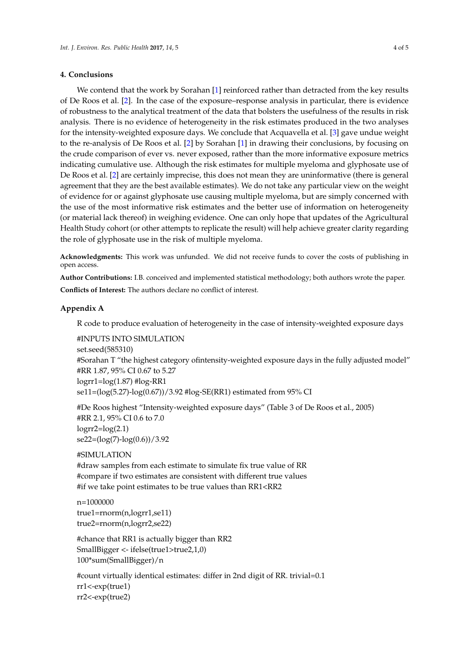### **4. Conclusions**

We contend that the work by Sorahan [\[1\]](#page-4-0) reinforced rather than detracted from the key results of De Roos et al. [\[2\]](#page-4-1). In the case of the exposure–response analysis in particular, there is evidence of robustness to the analytical treatment of the data that bolsters the usefulness of the results in risk analysis. There is no evidence of heterogeneity in the risk estimates produced in the two analyses for the intensity-weighted exposure days. We conclude that Acquavella et al. [\[3\]](#page-4-2) gave undue weight to the re-analysis of De Roos et al. [\[2\]](#page-4-1) by Sorahan [\[1\]](#page-4-0) in drawing their conclusions, by focusing on the crude comparison of ever vs. never exposed, rather than the more informative exposure metrics indicating cumulative use. Although the risk estimates for multiple myeloma and glyphosate use of De Roos et al. [\[2\]](#page-4-1) are certainly imprecise, this does not mean they are uninformative (there is general agreement that they are the best available estimates). We do not take any particular view on the weight of evidence for or against glyphosate use causing multiple myeloma, but are simply concerned with the use of the most informative risk estimates and the better use of information on heterogeneity (or material lack thereof) in weighing evidence. One can only hope that updates of the Agricultural Health Study cohort (or other attempts to replicate the result) will help achieve greater clarity regarding the role of glyphosate use in the risk of multiple myeloma.

**Acknowledgments:** This work was unfunded. We did not receive funds to cover the costs of publishing in open access.

**Author Contributions:** I.B. conceived and implemented statistical methodology; both authors wrote the paper.

**Conflicts of Interest:** The authors declare no conflict of interest.

## <span id="page-3-0"></span>**Appendix A**

R code to produce evaluation of heterogeneity in the case of intensity-weighted exposure days

#INPUTS INTO SIMULATION set.seed(585310) #Sorahan T "the highest category ofintensity-weighted exposure days in the fully adjusted model" #RR 1.87, 95% CI 0.67 to 5.27  $logrr1 = log(1.87)$ # $log-RR1$ se11=(log(5.27)-log(0.67))/3.92 #log-SE(RR1) estimated from 95% CI

#De Roos highest "Intensity-weighted exposure days" (Table 3 of De Roos et al., 2005) #RR 2.1, 95% CI 0.6 to 7.0  $logrr2 = log(2.1)$  $se22=(log(7)-log(0.6))/3.92$ 

#SIMULATION

#draw samples from each estimate to simulate fix true value of RR #compare if two estimates are consistent with different true values #if we take point estimates to be true values than RR1<RR2

n=1000000 true1=rnorm(n,logrr1,se11) true2=rnorm(n,logrr2,se22)

#chance that RR1 is actually bigger than RR2 SmallBigger <- ifelse(true1>true2,1,0) 100\*sum(SmallBigger)/n

#count virtually identical estimates: differ in 2nd digit of RR. trivial=0.1 rr1<-exp(true1) rr2<-exp(true2)